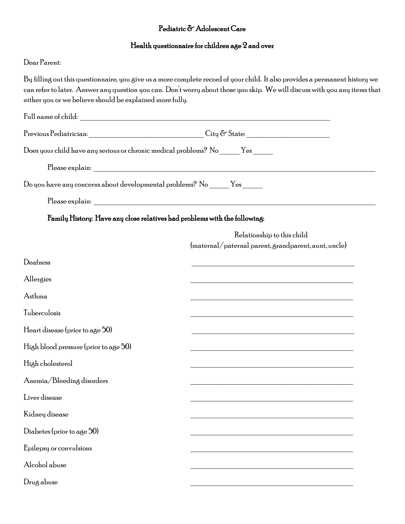## Pediatric & Adolescent Care

## Health questionnaire for children age 2 and over

## Dear Parent:

By filling out this questionnaire, you give us a more complete record of your child. It also provides a permanent history we can refer to later. Answer any question you can. Don't worry about those you skip. We will discuss with you any items that either you or we believe should be explained more fully.

|                                                                                   | $\begin{picture}(150,10) \put(0,0){\vector(1,0){100}} \put(15,0){\vector(1,0){100}} \put(15,0){\vector(1,0){100}} \put(15,0){\vector(1,0){100}} \put(15,0){\vector(1,0){100}} \put(15,0){\vector(1,0){100}} \put(15,0){\vector(1,0){100}} \put(15,0){\vector(1,0){100}} \put(15,0){\vector(1,0){100}} \put(15,0){\vector(1,0){100}} \put(15,0){\vector(1,0){100}}$ |  |  |  |  |  |
|-----------------------------------------------------------------------------------|--------------------------------------------------------------------------------------------------------------------------------------------------------------------------------------------------------------------------------------------------------------------------------------------------------------------------------------------------------------------|--|--|--|--|--|
| Does your child have any serious or chronic medical problems? No ______ Yes _____ |                                                                                                                                                                                                                                                                                                                                                                    |  |  |  |  |  |
|                                                                                   |                                                                                                                                                                                                                                                                                                                                                                    |  |  |  |  |  |
| Do you have any concerns about developmental problems? No ______ Yes ______       |                                                                                                                                                                                                                                                                                                                                                                    |  |  |  |  |  |
|                                                                                   |                                                                                                                                                                                                                                                                                                                                                                    |  |  |  |  |  |
| Family History: Have any close relatives had problems with the following:         |                                                                                                                                                                                                                                                                                                                                                                    |  |  |  |  |  |
|                                                                                   | Relationship to this child                                                                                                                                                                                                                                                                                                                                         |  |  |  |  |  |
|                                                                                   | (maternal/paternal parent, grandparent, aunt, uncle)                                                                                                                                                                                                                                                                                                               |  |  |  |  |  |
| Deafness                                                                          | <u> 1989 - Johann John Stoff, deutscher Stoffen und der Stoffen und der Stoffen und der Stoffen und der Stoffen</u>                                                                                                                                                                                                                                                |  |  |  |  |  |
| Allergies                                                                         |                                                                                                                                                                                                                                                                                                                                                                    |  |  |  |  |  |
| Asthma                                                                            |                                                                                                                                                                                                                                                                                                                                                                    |  |  |  |  |  |
| Tuberculosis                                                                      |                                                                                                                                                                                                                                                                                                                                                                    |  |  |  |  |  |
| Heart disease (prior to age $50$ )                                                | <u> 1989 - Johann Stoff, deutscher Stoff, der Stoff, der Stoff, der Stoff, der Stoff, der Stoff, der Stoff, der S</u>                                                                                                                                                                                                                                              |  |  |  |  |  |
| High blood pressure (prior to age 50)                                             |                                                                                                                                                                                                                                                                                                                                                                    |  |  |  |  |  |
| High cholesterol                                                                  |                                                                                                                                                                                                                                                                                                                                                                    |  |  |  |  |  |
| Anemia/Bleeding disorders                                                         | <u> 1989 - Johann John Harry Harry Harry Harry Harry Harry Harry Harry Harry Harry Harry Harry Harry Harry Harry Harry Harry Harry Harry Harry Harry Harry Harry Harry Harry Harry Harry Harry Harry Harry Harry Harry Harry Har</u>                                                                                                                               |  |  |  |  |  |
| Liver disease                                                                     |                                                                                                                                                                                                                                                                                                                                                                    |  |  |  |  |  |
| Kidney disease                                                                    |                                                                                                                                                                                                                                                                                                                                                                    |  |  |  |  |  |
| Diabetes (prior to age 50)                                                        |                                                                                                                                                                                                                                                                                                                                                                    |  |  |  |  |  |
| Epilepsy or convulsions                                                           |                                                                                                                                                                                                                                                                                                                                                                    |  |  |  |  |  |
| Alcohol abuse                                                                     |                                                                                                                                                                                                                                                                                                                                                                    |  |  |  |  |  |
| Drug abuse                                                                        |                                                                                                                                                                                                                                                                                                                                                                    |  |  |  |  |  |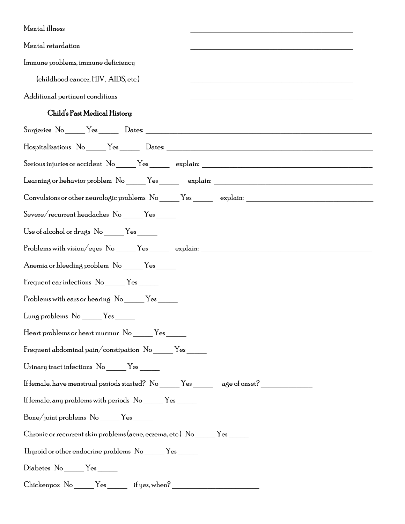| Mental illness                                                                                       |
|------------------------------------------------------------------------------------------------------|
| Mental retardation                                                                                   |
| Immune problems, immune deficiency                                                                   |
| (childhood cancer, HIV, AIDS, etc.)                                                                  |
| Additional pertinent conditions                                                                      |
| Child's Past Medical History:                                                                        |
|                                                                                                      |
|                                                                                                      |
|                                                                                                      |
|                                                                                                      |
| Convulsions or other neurologic problems No _____Yes ________ explain: _____________________________ |
| Severe/recurrent headaches No _____Yes ______                                                        |
| Use of alcohol or drugs No ______ Yes ______                                                         |
| Problems with vision/eyes No _____Yes ________ explain: _________________________                    |
| Anemia or bleeding problem No _____Yes _____                                                         |
| Frequent ear infections No ______Yes ______                                                          |
| Problems with ears or hearing No ______Yes ______                                                    |
| Lung problems No _____Yes _____                                                                      |
| Heart problems or heart murmur No ______Yes ______                                                   |
| Frequent abdominal pain/constipation No _____Yes ______                                              |

- Urinary tract infections No \_\_\_\_\_\_ Yes \_\_\_\_\_\_
- If female, have menstrual periods started? No \_\_\_\_\_ Yes \_\_\_\_\_ age of onset? \_\_\_\_\_\_\_\_\_\_\_\_\_
- If female, any problems with periods  $\rm\ No$  \_\_\_\_\_\_  $\rm Yes$  \_\_\_\_\_\_
- Bone/joint problems No \_\_\_\_\_ Yes \_\_\_\_\_
- Chronic or recurrent skin problems (acne, eczema, etc.) No \_\_\_\_\_ Yes \_\_\_\_\_
- Thyroid or other endocrine problems No \_\_\_\_\_ Yes \_\_\_\_\_
- Diabetes No \_\_\_\_\_ Yes \_\_\_\_\_
- Chickenpox No \_\_\_\_\_ Yes \_\_\_\_\_ if yes, when? \_\_\_\_\_\_\_\_\_\_\_\_\_\_\_\_\_\_\_\_\_\_